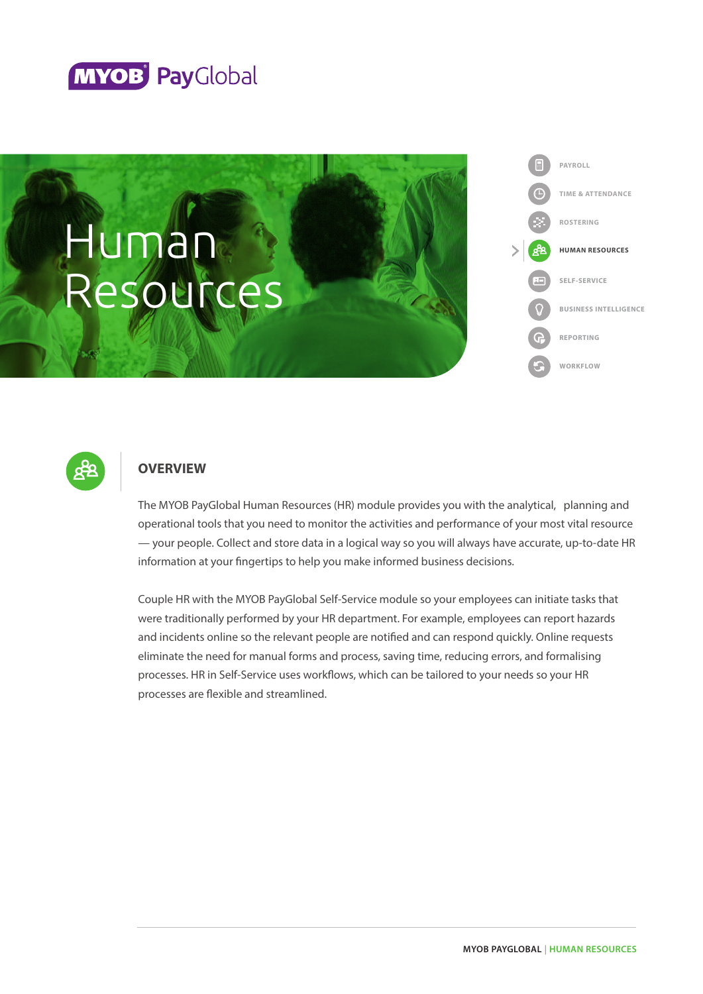





# **OVERVIEW**

The MYOB PayGlobal Human Resources (HR) module provides you with the analytical, planning and operational tools that you need to monitor the activities and performance of your most vital resource — your people. Collect and store data in a logical way so you will always have accurate, up-to-date HR information at your fingertips to help you make informed business decisions.

Couple HR with the MYOB PayGlobal Self-Service module so your employees can initiate tasks that were traditionally performed by your HR department. For example, employees can report hazards and incidents online so the relevant people are notified and can respond quickly. Online requests eliminate the need for manual forms and process, saving time, reducing errors, and formalising processes. HR in Self-Service uses workflows, which can be tailored to your needs so your HR processes are flexible and streamlined.